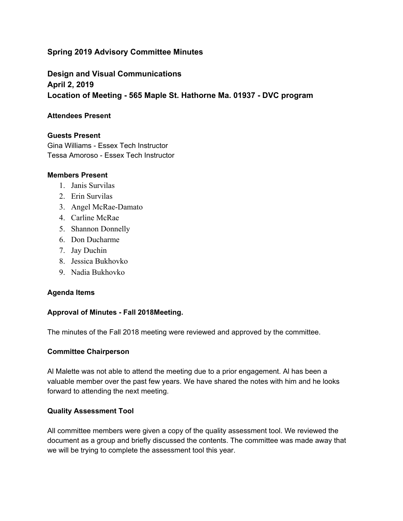# **Spring 2019 Advisory Committee Minutes**

**Design and Visual Communications April 2, 2019 Location of Meeting - 565 Maple St. Hathorne Ma. 01937 - DVC program**

### **Attendees Present**

### **Guests Present**

Gina Williams - Essex Tech Instructor Tessa Amoroso - Essex Tech Instructor

#### **Members Present**

- 1. Janis Survilas
- 2. Erin Survilas
- 3. Angel McRae-Damato
- 4. Carline McRae
- 5. Shannon Donnelly
- 6. Don Ducharme
- 7. Jay Duchin
- 8. Jessica Bukhovko
- 9. Nadia Bukhovko

## **Agenda Items**

#### **Approval of Minutes - Fall 2018Meeting.**

The minutes of the Fall 2018 meeting were reviewed and approved by the committee.

#### **Committee Chairperson**

Al Malette was not able to attend the meeting due to a prior engagement. Al has been a valuable member over the past few years. We have shared the notes with him and he looks forward to attending the next meeting.

#### **Quality Assessment Tool**

All committee members were given a copy of the quality assessment tool. We reviewed the document as a group and briefly discussed the contents. The committee was made away that we will be trying to complete the assessment tool this year.